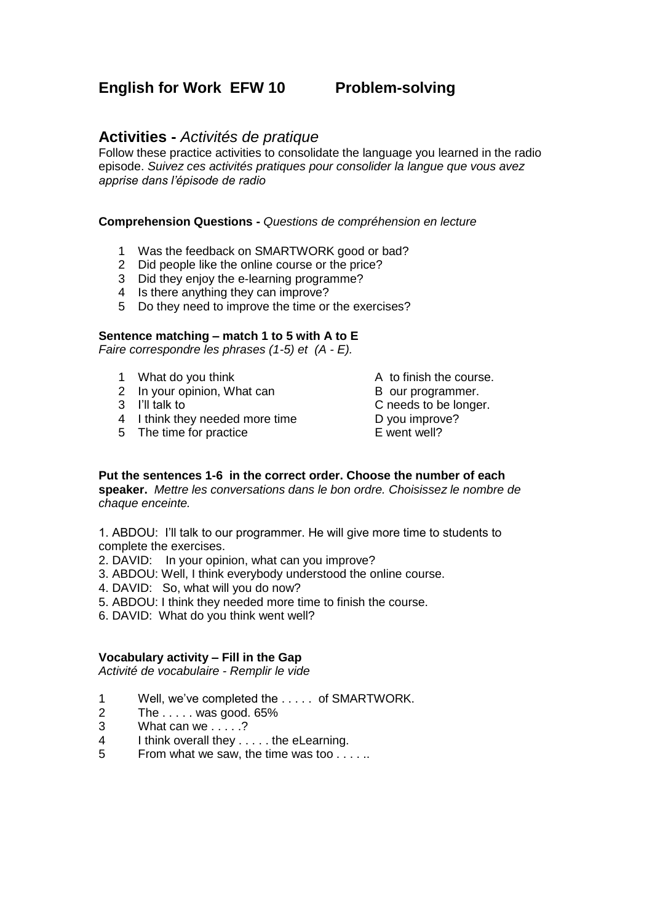## **English for Work EFW 10 Problem-solving**

### **Activities -** *Activités de pratique*

Follow these practice activities to consolidate the language you learned in the radio episode. *Suivez ces activités pratiques pour consolider la langue que vous avez apprise dans l'épisode de radio*

#### **Comprehension Questions -** *Questions de compréhension en lecture*

- 1 Was the feedback on SMARTWORK good or bad?
- 2 Did people like the online course or the price?
- 3 Did they enjoy the e-learning programme?
- 4 Is there anything they can improve?
- 5 Do they need to improve the time or the exercises?

#### **Sentence matching – match 1 to 5 with A to E**

*Faire correspondre les phrases (1-5) et (A - E).*

- 
- 1 What do you think A to finish the course.<br>
2 In your opinion, What can B our programmer. 2 In your opinion, What can<br>3 I'll talk to
- 
- 4 I think they needed more time<br>
5 The time for practice<br>
E went well?
- 5 The time for practice

- 
- C needs to be longer.
- 
- 

#### **Put the sentences 1-6 in the correct order. Choose the number of each speaker.** *Mettre les conversations dans le bon ordre. Choisissez le nombre de chaque enceinte.*

1. ABDOU: I'll talk to our programmer. He will give more time to students to complete the exercises.

- 2. DAVID: In your opinion, what can you improve?
- 3. ABDOU: Well, I think everybody understood the online course.
- 4. DAVID: So, what will you do now?
- 5. ABDOU: I think they needed more time to finish the course.
- 6. DAVID: What do you think went well?

#### **Vocabulary activity – Fill in the Gap**

*Activité de vocabulaire - Remplir le vide*

- 1 Well, we've completed the ..... of SMARTWORK.<br>2 The ..... was good. 65%
- The  $\ldots$  was good. 65%
- 3 What can we . . . . .?
- 4 I think overall they . . . . . the eLearning.
- 5 From what we saw, the time was too . . . . ..